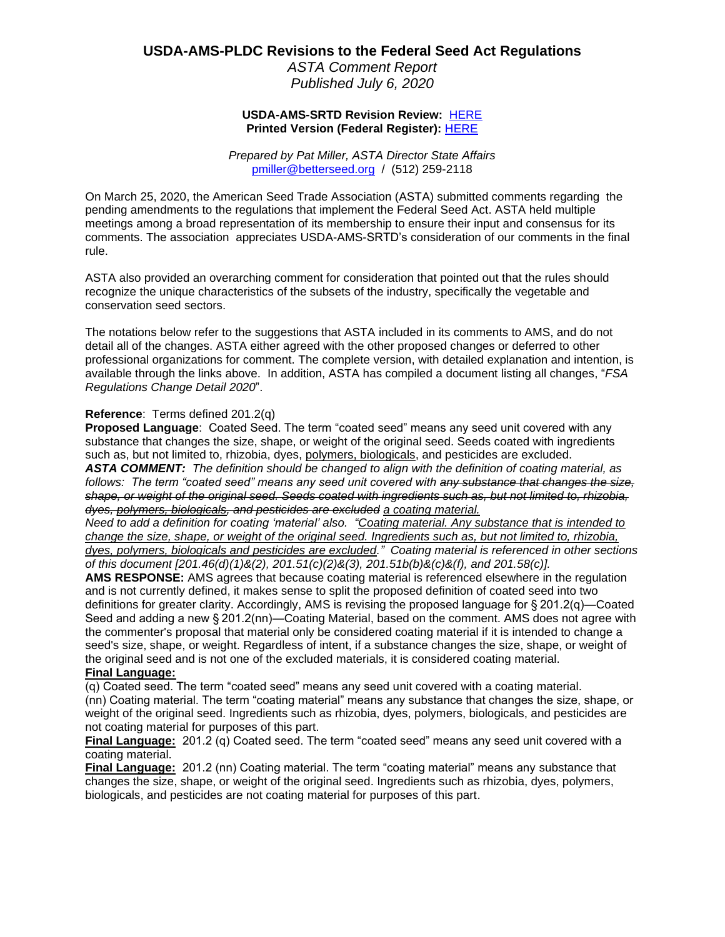# **USDA-AMS-PLDC Revisions to the Federal Seed Act Regulations**

*ASTA Comment Report Published July 6, 2020*

# **USDA-AMS-SRTD Revision Review:** [HERE](https://www.federalregister.gov/documents/2020/07/07/2020-12920/revisions-to-the-federal-seed-act-regulations?utm_campaign=subscription+mailing+list&utm_source=federalregister.gov&utm_medium=email) **Printed Version (Federal Register):** [HERE](https://www.govinfo.gov/content/pkg/FR-2020-07-07/pdf/2020-12920.pdf)

*Prepared by Pat Miller, ASTA Director State Affairs* [pmiller@betterseed.org](mailto:pmiller@betterseed.org) / (512) 259-2118

On March 25, 2020, the American Seed Trade Association (ASTA) submitted comments regarding the pending amendments to the regulations that implement the Federal Seed Act. ASTA held multiple meetings among a broad representation of its membership to ensure their input and consensus for its comments. The association appreciates USDA-AMS-SRTD's consideration of our comments in the final rule.

ASTA also provided an overarching comment for consideration that pointed out that the rules should recognize the unique characteristics of the subsets of the industry, specifically the vegetable and conservation seed sectors.

The notations below refer to the suggestions that ASTA included in its comments to AMS, and do not detail all of the changes. ASTA either agreed with the other proposed changes or deferred to other professional organizations for comment. The complete version, with detailed explanation and intention, is available through the links above. In addition, ASTA has compiled a document listing all changes, "*FSA Regulations Change Detail 2020*".

# **Reference**: Terms defined 201.2(q)

**Proposed Language**: Coated Seed. The term "coated seed" means any seed unit covered with any substance that changes the size, shape, or weight of the original seed. Seeds coated with ingredients such as, but not limited to, rhizobia, dyes, polymers, biologicals, and pesticides are excluded. *ASTA COMMENT: The definition should be changed to align with the definition of coating material, as follows: The term "coated seed" means any seed unit covered with any substance that changes the size, shape, or weight of the original seed. Seeds coated with ingredients such as, but not limited to, rhizobia, dyes, polymers, biologicals, and pesticides are excluded a coating material.*

*Need to add a definition for coating 'material' also. "Coating material. Any substance that is intended to change the size, shape, or weight of the original seed. Ingredients such as, but not limited to, rhizobia, dyes, polymers, biologicals and pesticides are excluded." Coating material is referenced in other sections of this document [201.46(d)(1)&(2), 201.51(c)(2)&(3), 201.51b(b)&(c)&(f), and 201.58(c)].*

**AMS RESPONSE:** AMS agrees that because coating material is referenced elsewhere in the regulation and is not currently defined, it makes sense to split the proposed definition of coated seed into two definitions for greater clarity. Accordingly, AMS is revising the proposed language for § 201.2(q)—Coated Seed and adding a new § 201.2(nn)—Coating Material, based on the comment. AMS does not agree with the commenter's proposal that material only be considered coating material if it is intended to change a seed's size, shape, or weight. Regardless of intent, if a substance changes the size, shape, or weight of the original seed and is not one of the excluded materials, it is considered coating material.

# **Final Language:**

(q) Coated seed. The term "coated seed" means any seed unit covered with a coating material. (nn) Coating material. The term "coating material" means any substance that changes the size, shape, or weight of the original seed. Ingredients such as rhizobia, dyes, polymers, biologicals, and pesticides are not coating material for purposes of this part.

**Final Language:** 201.2 (q) Coated seed. The term "coated seed" means any seed unit covered with a coating material.

**Final Language:** 201.2 (nn) Coating material. The term "coating material" means any substance that changes the size, shape, or weight of the original seed. Ingredients such as rhizobia, dyes, polymers, biologicals, and pesticides are not coating material for purposes of this part.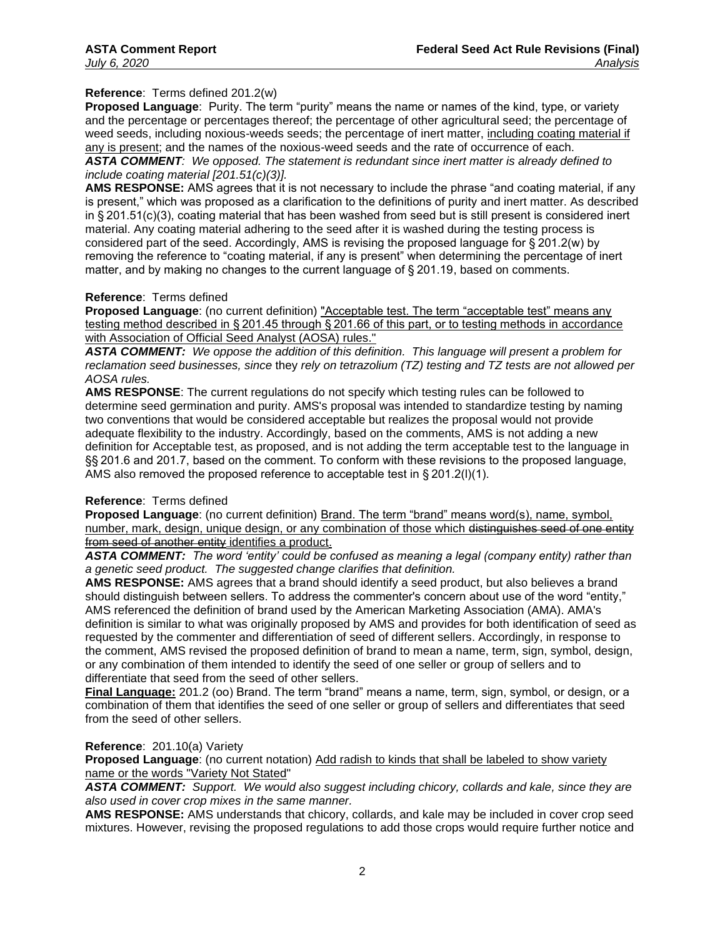# **Reference**: Terms defined 201.2(w)

**Proposed Language**: Purity. The term "purity" means the name or names of the kind, type, or variety and the percentage or percentages thereof; the percentage of other agricultural seed; the percentage of weed seeds, including noxious-weeds seeds; the percentage of inert matter, including coating material if any is present; and the names of the noxious-weed seeds and the rate of occurrence of each.

*ASTA COMMENT: We opposed. The statement is redundant since inert matter is already defined to include coating material [201.51(c)(3)].*

**AMS RESPONSE:** AMS agrees that it is not necessary to include the phrase "and coating material, if any is present," which was proposed as a clarification to the definitions of purity and inert matter. As described in § 201.51(c)(3), coating material that has been washed from seed but is still present is considered inert material. Any coating material adhering to the seed after it is washed during the testing process is considered part of the seed. Accordingly, AMS is revising the proposed language for § 201.2(w) by removing the reference to "coating material, if any is present" when determining the percentage of inert matter, and by making no changes to the current language of § 201.19, based on comments.

#### **Reference**: Terms defined

**Proposed Language**: (no current definition) "Acceptable test. The term "acceptable test" means any testing method described in § 201.45 through § 201.66 of this part, or to testing methods in accordance with Association of Official Seed Analyst (AOSA) rules."

*ASTA COMMENT: We oppose the addition of this definition. This language will present a problem for reclamation seed businesses, since* they *rely on tetrazolium (TZ) testing and TZ tests are not allowed per AOSA rules.* 

**AMS RESPONSE**: The current regulations do not specify which testing rules can be followed to determine seed germination and purity. AMS's proposal was intended to standardize testing by naming two conventions that would be considered acceptable but realizes the proposal would not provide adequate flexibility to the industry. Accordingly, based on the comments, AMS is not adding a new definition for Acceptable test, as proposed, and is not adding the term acceptable test to the language in §§ 201.6 and 201.7, based on the comment. To conform with these revisions to the proposed language, AMS also removed the proposed reference to acceptable test in § 201.2(l)(1).

### **Reference**: Terms defined

**Proposed Language**: (no current definition) Brand. The term "brand" means word(s), name, symbol, number, mark, design, unique design, or any combination of those which distinguishes seed of one entity from seed of another entity identifies a product.

*ASTA COMMENT: The word 'entity' could be confused as meaning a legal (company entity) rather than a genetic seed product. The suggested change clarifies that definition.*

**AMS RESPONSE:** AMS agrees that a brand should identify a seed product, but also believes a brand should distinguish between sellers. To address the commenter's concern about use of the word "entity," AMS referenced the definition of brand used by the American Marketing Association (AMA). AMA's definition is similar to what was originally proposed by AMS and provides for both identification of seed as requested by the commenter and differentiation of seed of different sellers. Accordingly, in response to the comment, AMS revised the proposed definition of brand to mean a name, term, sign, symbol, design, or any combination of them intended to identify the seed of one seller or group of sellers and to differentiate that seed from the seed of other sellers.

**Final Language:** 201.2 (oo) Brand. The term "brand" means a name, term, sign, symbol, or design, or a combination of them that identifies the seed of one seller or group of sellers and differentiates that seed from the seed of other sellers.

### **Reference**: 201.10(a) Variety

**Proposed Language**: (no current notation) Add radish to kinds that shall be labeled to show variety name or the words "Variety Not Stated"

*ASTA COMMENT: Support. We would also suggest including chicory, collards and kale, since they are also used in cover crop mixes in the same manner.*

**AMS RESPONSE:** AMS understands that chicory, collards, and kale may be included in cover crop seed mixtures. However, revising the proposed regulations to add those crops would require further notice and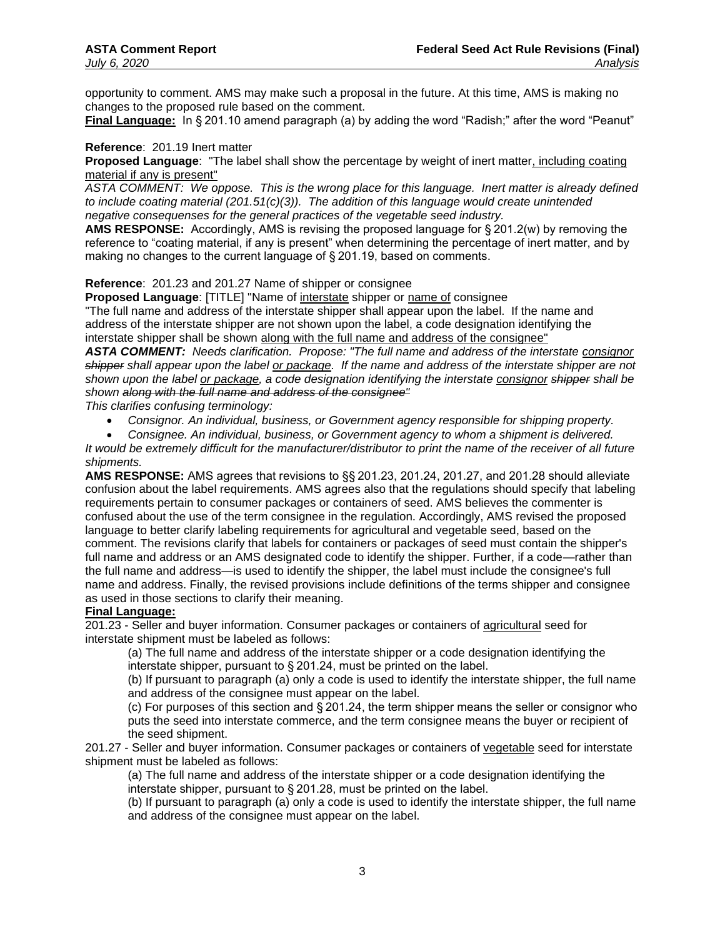opportunity to comment. AMS may make such a proposal in the future. At this time, AMS is making no changes to the proposed rule based on the comment.

**Final Language:** In § 201.10 amend paragraph (a) by adding the word "Radish;" after the word "Peanut"

# **Reference**: 201.19 Inert matter

**Proposed Language**: "The label shall show the percentage by weight of inert matter, including coating material if any is present"

*ASTA COMMENT: We oppose. This is the wrong place for this language. Inert matter is already defined to include coating material (201.51(c)(3)). The addition of this language would create unintended negative consequenses for the general practices of the vegetable seed industry.*

**AMS RESPONSE:** Accordingly, AMS is revising the proposed language for § 201.2(w) by removing the reference to "coating material, if any is present" when determining the percentage of inert matter, and by making no changes to the current language of § 201.19, based on comments.

**Reference**: 201.23 and 201.27 Name of shipper or consignee

**Proposed Language**: [TITLE] "Name of interstate shipper or name of consignee

"The full name and address of the interstate shipper shall appear upon the label. If the name and address of the interstate shipper are not shown upon the label, a code designation identifying the interstate shipper shall be shown along with the full name and address of the consignee"

*ASTA COMMENT: Needs clarification. Propose: "The full name and address of the interstate consignor shipper shall appear upon the label or package. If the name and address of the interstate shipper are not shown upon the label or package, a code designation identifying the interstate consignor shipper shall be shown along with the full name and address of the consignee"*

*This clarifies confusing terminology:*

• *Consignor. An individual, business, or Government agency responsible for shipping property.*

• *Consignee. An individual, business, or Government agency to whom a shipment is delivered. It would be extremely difficult for the manufacturer/distributor to print the name of the receiver of all future shipments.*

**AMS RESPONSE:** AMS agrees that revisions to §§ 201.23, 201.24, 201.27, and 201.28 should alleviate confusion about the label requirements. AMS agrees also that the regulations should specify that labeling requirements pertain to consumer packages or containers of seed. AMS believes the commenter is confused about the use of the term consignee in the regulation. Accordingly, AMS revised the proposed language to better clarify labeling requirements for agricultural and vegetable seed, based on the comment. The revisions clarify that labels for containers or packages of seed must contain the shipper's full name and address or an AMS designated code to identify the shipper. Further, if a code—rather than the full name and address—is used to identify the shipper, the label must include the consignee's full name and address. Finally, the revised provisions include definitions of the terms shipper and consignee as used in those sections to clarify their meaning.

# **Final Language:**

201.23 - Seller and buyer information. Consumer packages or containers of agricultural seed for interstate shipment must be labeled as follows:

(a) The full name and address of the interstate shipper or a code designation identifying the interstate shipper, pursuant to § 201.24, must be printed on the label.

(b) If pursuant to paragraph (a) only a code is used to identify the interstate shipper, the full name and address of the consignee must appear on the label.

(c) For purposes of this section and § 201.24, the term shipper means the seller or consignor who puts the seed into interstate commerce, and the term consignee means the buyer or recipient of the seed shipment.

201.27 - Seller and buyer information. Consumer packages or containers of vegetable seed for interstate shipment must be labeled as follows:

(a) The full name and address of the interstate shipper or a code designation identifying the interstate shipper, pursuant to § 201.28, must be printed on the label.

(b) If pursuant to paragraph (a) only a code is used to identify the interstate shipper, the full name and address of the consignee must appear on the label.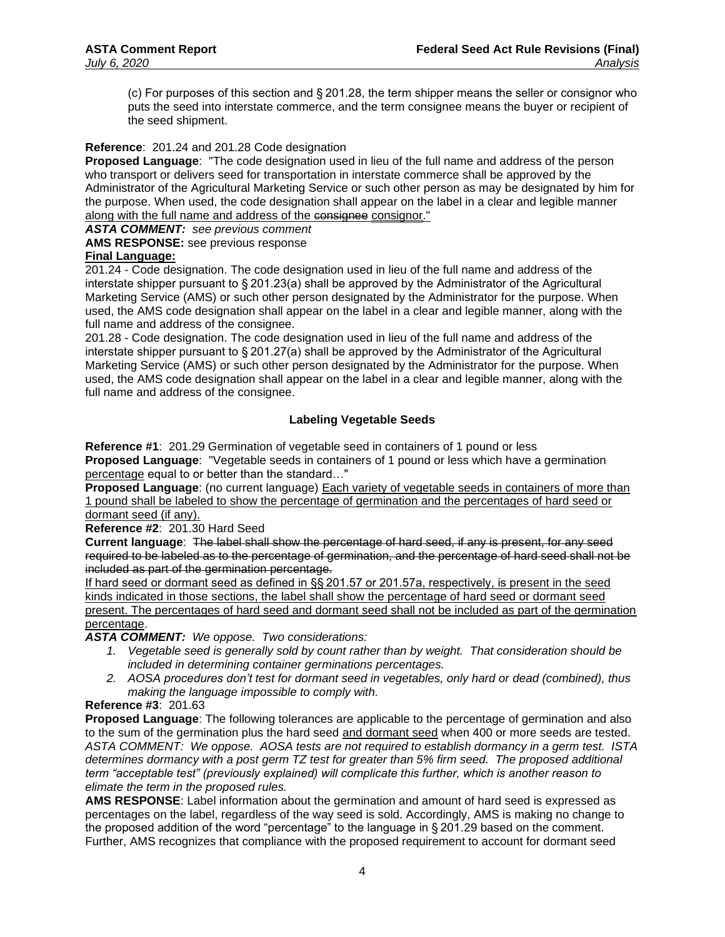(c) For purposes of this section and § 201.28, the term shipper means the seller or consignor who puts the seed into interstate commerce, and the term consignee means the buyer or recipient of the seed shipment.

# **Reference**: 201.24 and 201.28 Code designation

**Proposed Language**: "The code designation used in lieu of the full name and address of the person who transport or delivers seed for transportation in interstate commerce shall be approved by the Administrator of the Agricultural Marketing Service or such other person as may be designated by him for the purpose. When used, the code designation shall appear on the label in a clear and legible manner along with the full name and address of the consignee consignor."

*ASTA COMMENT: see previous comment*

**AMS RESPONSE:** see previous response

### **Final Language:**

201.24 - Code designation. The code designation used in lieu of the full name and address of the interstate shipper pursuant to § 201.23(a) shall be approved by the Administrator of the Agricultural Marketing Service (AMS) or such other person designated by the Administrator for the purpose. When used, the AMS code designation shall appear on the label in a clear and legible manner, along with the full name and address of the consignee.

201.28 - Code designation. The code designation used in lieu of the full name and address of the interstate shipper pursuant to § 201.27(a) shall be approved by the Administrator of the Agricultural Marketing Service (AMS) or such other person designated by the Administrator for the purpose. When used, the AMS code designation shall appear on the label in a clear and legible manner, along with the full name and address of the consignee.

# **Labeling Vegetable Seeds**

**Reference #1**: 201.29 Germination of vegetable seed in containers of 1 pound or less **Proposed Language**: "Vegetable seeds in containers of 1 pound or less which have a germination percentage equal to or better than the standard…"

**Proposed Language**: (no current language) Each variety of vegetable seeds in containers of more than 1 pound shall be labeled to show the percentage of germination and the percentages of hard seed or dormant seed (if any).

### **Reference #2**: 201.30 Hard Seed

**Current language**: The label shall show the percentage of hard seed, if any is present, for any seed required to be labeled as to the percentage of germination, and the percentage of hard seed shall not be included as part of the germination percentage.

If hard seed or dormant seed as defined in §§ 201.57 or 201.57a, respectively, is present in the seed kinds indicated in those sections, the label shall show the percentage of hard seed or dormant seed present. The percentages of hard seed and dormant seed shall not be included as part of the germination percentage.

*ASTA COMMENT: We oppose. Two considerations:*

- *1. Vegetable seed is generally sold by count rather than by weight. That consideration should be included in determining container germinations percentages.*
- *2. AOSA procedures don't test for dormant seed in vegetables, only hard or dead (combined), thus making the language impossible to comply with.*

### **Reference #3**: 201.63

**Proposed Language**: The following tolerances are applicable to the percentage of germination and also to the sum of the germination plus the hard seed and dormant seed when 400 or more seeds are tested. *ASTA COMMENT: We oppose. AOSA tests are not required to establish dormancy in a germ test. ISTA determines dormancy with a post germ TZ test for greater than 5% firm seed. The proposed additional term "acceptable test" (previously explained) will complicate this further, which is another reason to elimate the term in the proposed rules.* 

**AMS RESPONSE**: Label information about the germination and amount of hard seed is expressed as percentages on the label, regardless of the way seed is sold. Accordingly, AMS is making no change to the proposed addition of the word "percentage" to the language in § 201.29 based on the comment. Further, AMS recognizes that compliance with the proposed requirement to account for dormant seed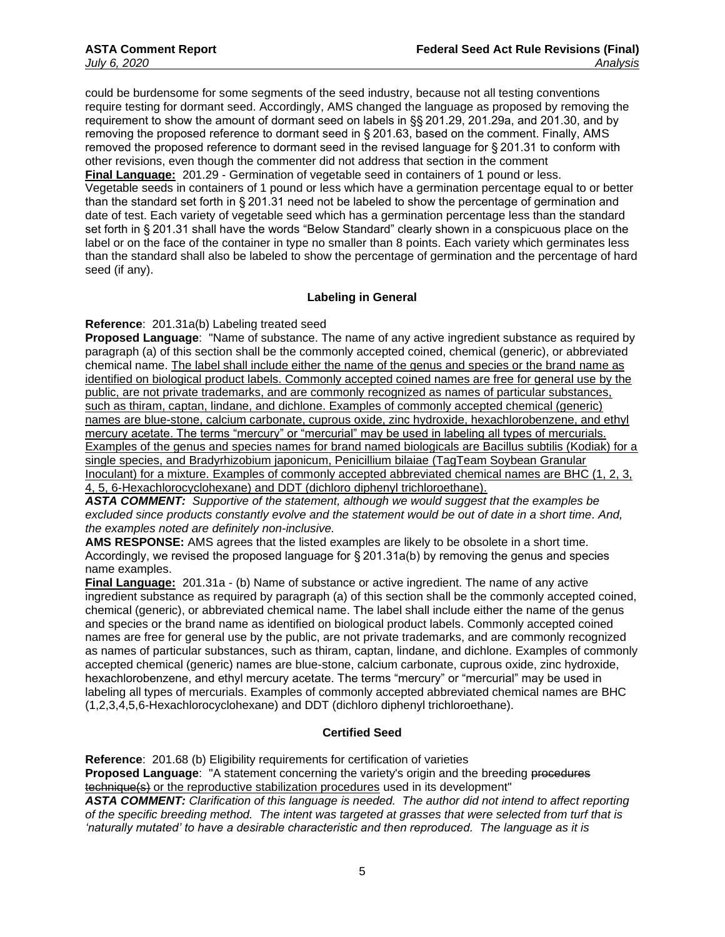could be burdensome for some segments of the seed industry, because not all testing conventions require testing for dormant seed. Accordingly, AMS changed the language as proposed by removing the requirement to show the amount of dormant seed on labels in §§ 201.29, 201.29a, and 201.30, and by removing the proposed reference to dormant seed in § 201.63, based on the comment. Finally, AMS removed the proposed reference to dormant seed in the revised language for § 201.31 to conform with other revisions, even though the commenter did not address that section in the comment **Final Language:** 201.29 - Germination of vegetable seed in containers of 1 pound or less. Vegetable seeds in containers of 1 pound or less which have a germination percentage equal to or better than the standard set forth in § 201.31 need not be labeled to show the percentage of germination and date of test. Each variety of vegetable seed which has a germination percentage less than the standard set forth in § 201.31 shall have the words "Below Standard" clearly shown in a conspicuous place on the label or on the face of the container in type no smaller than 8 points. Each variety which germinates less than the standard shall also be labeled to show the percentage of germination and the percentage of hard seed (if any).

### **Labeling in General**

**Reference**: 201.31a(b) Labeling treated seed

**Proposed Language**: "Name of substance. The name of any active ingredient substance as required by paragraph (a) of this section shall be the commonly accepted coined, chemical (generic), or abbreviated chemical name. The label shall include either the name of the genus and species or the brand name as identified on biological product labels. Commonly accepted coined names are free for general use by the public, are not private trademarks, and are commonly recognized as names of particular substances, such as thiram, captan, lindane, and dichlone. Examples of commonly accepted chemical (generic) names are blue-stone, calcium carbonate, cuprous oxide, zinc hydroxide, hexachlorobenzene, and ethyl mercury acetate. The terms "mercury" or "mercurial" may be used in labeling all types of mercurials. Examples of the genus and species names for brand named biologicals are Bacillus subtilis (Kodiak) for a single species, and Bradyrhizobium japonicum, Penicillium bilaiae (TagTeam Soybean Granular Inoculant) for a mixture. Examples of commonly accepted abbreviated chemical names are BHC (1, 2, 3, 4, 5, 6-Hexachlorocyclohexane) and DDT (dichloro diphenyl trichloroethane).

*ASTA COMMENT: Supportive of the statement, although we would suggest that the examples be excluded since products constantly evolve and the statement would be out of date in a short time. And, the examples noted are definitely non-inclusive.*

**AMS RESPONSE:** AMS agrees that the listed examples are likely to be obsolete in a short time. Accordingly, we revised the proposed language for § 201.31a(b) by removing the genus and species name examples.

**Final Language:** 201.31a - (b) Name of substance or active ingredient. The name of any active ingredient substance as required by paragraph (a) of this section shall be the commonly accepted coined, chemical (generic), or abbreviated chemical name. The label shall include either the name of the genus and species or the brand name as identified on biological product labels. Commonly accepted coined names are free for general use by the public, are not private trademarks, and are commonly recognized as names of particular substances, such as thiram, captan, lindane, and dichlone. Examples of commonly accepted chemical (generic) names are blue-stone, calcium carbonate, cuprous oxide, zinc hydroxide, hexachlorobenzene, and ethyl mercury acetate. The terms "mercury" or "mercurial" may be used in labeling all types of mercurials. Examples of commonly accepted abbreviated chemical names are BHC (1,2,3,4,5,6-Hexachlorocyclohexane) and DDT (dichloro diphenyl trichloroethane).

### **Certified Seed**

**Reference**: 201.68 (b) Eligibility requirements for certification of varieties **Proposed Language:** "A statement concerning the variety's origin and the breeding procedures technique(s) or the reproductive stabilization procedures used in its development" *ASTA COMMENT: Clarification of this language is needed. The author did not intend to affect reporting of the specific breeding method. The intent was targeted at grasses that were selected from turf that is 'naturally mutated' to have a desirable characteristic and then reproduced. The language as it is*